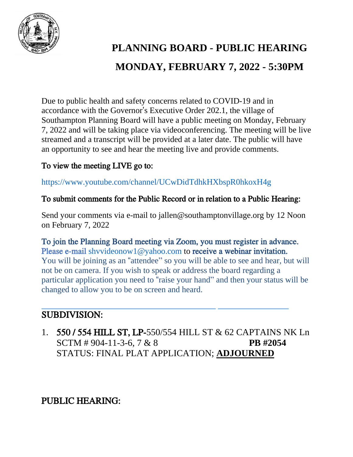

# **PLANNING BOARD - PUBLIC HEARING MONDAY, FEBRUARY 7, 2022 - 5:30PM**

Due to public health and safety concerns related to COVID-19 and in accordance with the Governor's Executive Order 202.1, the village of Southampton Planning Board will have a public meeting on Monday, February 7, 2022 and will be taking place via videoconferencing. The meeting will be live streamed and a transcript will be provided at a later date. The public will have an opportunity to see and hear the meeting live and provide comments.

#### To view the meeting LIVE go to:

https://www.youtube.com/channel/UCwDidTdhkHXbspR0hkoxH4g

#### To submit comments for the Public Record or in relation to a Public Hearing:

Send your comments via e-mail to jallen@southamptonvillage.org by 12 Noon on February 7, 2022

To join the Planning Board meeting via Zoom, you must register in advance. Please e-mail shyvideonow1@yahoo.com to receive a webinar invitation. You will be joining as an "attendee" so you will be able to see and hear, but will not be on camera. If you wish to speak or address the board regarding a particular application you need to "raise your hand" and then your status will be changed to allow you to be on screen and heard.

# SUBDIVISION:

1. 550 / 554 HILL ST, LP-550/554 HILL ST & 62 CAPTAINS NK Ln SCTM # 904-11-3-6, 7 & 8 **PB #2054** STATUS: FINAL PLAT APPLICATION; **ADJOURNED**

PUBLIC HEARING: